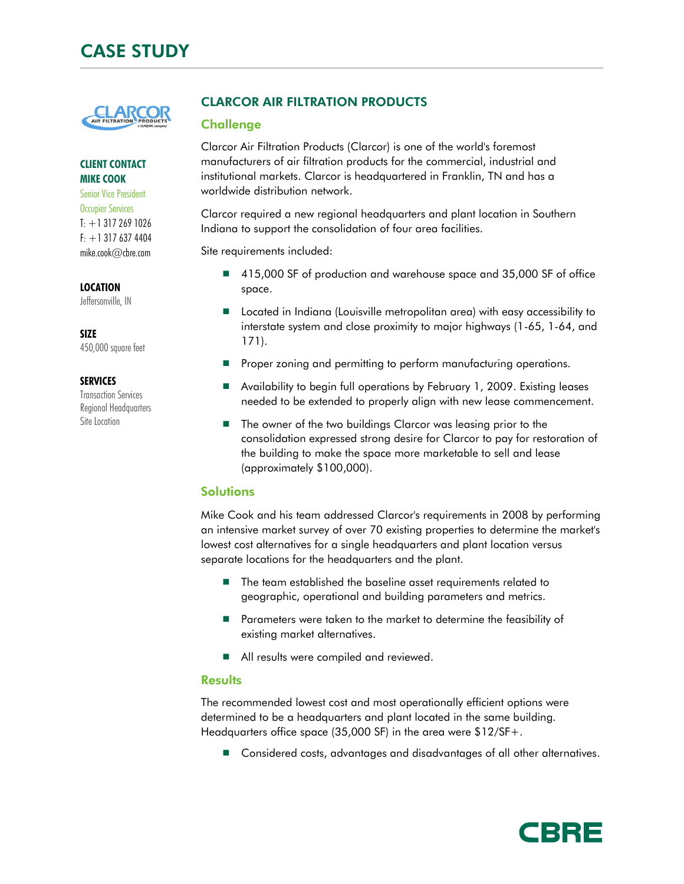

#### CLIENT CONTACT MIKE COOK

Senior Vice President Occupier Services  $T: +13172691026$  $F: +1$  317 637 4404 mike.cook@cbre.com

LOCATION

Jeffersonville, IN

SIZE 450,000 square feet

#### **SERVICES**

Transaction Services Regional Headquarters Site Location

# CLARCOR AIR FILTRATION PRODUCTS

## **Challenge**

Clarcor Air Filtration Products (Clarcor) is one of the world's foremost manufacturers of air filtration products for the commercial, industrial and institutional markets. Clarcor is headquartered in Franklin, TN and has a worldwide distribution network.

Clarcor required a new regional headquarters and plant location in Southern Indiana to support the consolidation of four area facilities.

Site requirements included:

- 415,000 SF of production and warehouse space and 35,000 SF of office space.
- Located in Indiana (Louisville metropolitan area) with easy accessibility to interstate system and close proximity to major highways (1-65, 1-64, and 171).
- Proper zoning and permitting to perform manufacturing operations.
- Availability to begin full operations by February 1, 2009. Existing leases needed to be extended to properly align with new lease commencement.
- The owner of the two buildings Clarcor was leasing prior to the consolidation expressed strong desire for Clarcor to pay for restoration of the building to make the space more marketable to sell and lease (approximately \$100,000).

## **Solutions**

Mike Cook and his team addressed Clarcor's requirements in 2008 by performing an intensive market survey of over 70 existing properties to determine the market's lowest cost alternatives for a single headquarters and plant location versus separate locations for the headquarters and the plant.

- The team established the baseline asset requirements related to geographic, operational and building parameters and metrics.
- **Parameters were taken to the market to determine the feasibility of** existing market alternatives.
- All results were compiled and reviewed.

## **Results**

The recommended lowest cost and most operationally efficient options were determined to be a headquarters and plant located in the same building. Headquarters office space (35,000 SF) in the area were \$12/SF+.

■ Considered costs, advantages and disadvantages of all other alternatives.